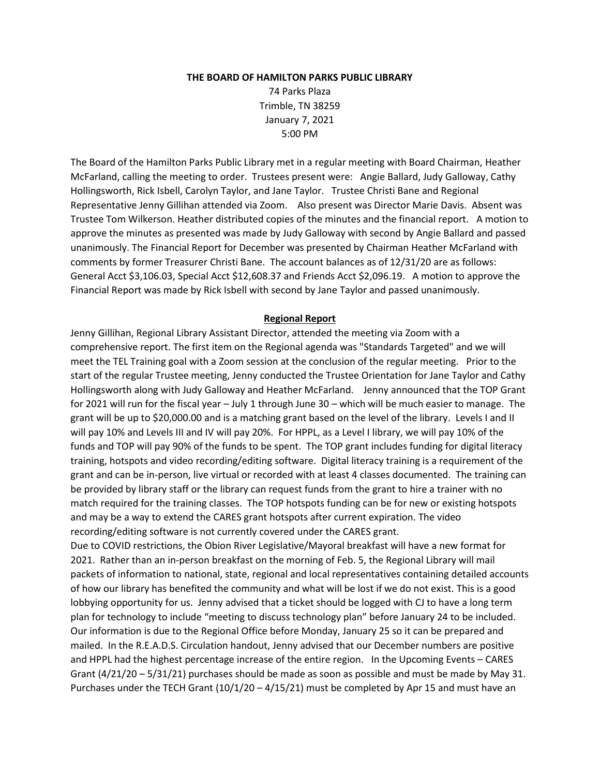#### **THE BOARD OF HAMILTON PARKS PUBLIC LIBRARY**

74 Parks Plaza Trimble, TN 38259 January 7, 2021 5:00 PM

The Board of the Hamilton Parks Public Library met in a regular meeting with Board Chairman, Heather McFarland, calling the meeting to order. Trustees present were: Angie Ballard, Judy Galloway, Cathy Hollingsworth, Rick Isbell, Carolyn Taylor, and Jane Taylor. Trustee Christi Bane and Regional Representative Jenny Gillihan attended via Zoom. Also present was Director Marie Davis. Absent was Trustee Tom Wilkerson. Heather distributed copies of the minutes and the financial report. A motion to approve the minutes as presented was made by Judy Galloway with second by Angie Ballard and passed unanimously. The Financial Report for December was presented by Chairman Heather McFarland with comments by former Treasurer Christi Bane. The account balances as of 12/31/20 are as follows: General Acct \$3,106.03, Special Acct \$12,608.37 and Friends Acct \$2,096.19. A motion to approve the Financial Report was made by Rick Isbell with second by Jane Taylor and passed unanimously.

#### **Regional Report**

Jenny Gillihan, Regional Library Assistant Director, attended the meeting via Zoom with a comprehensive report. The first item on the Regional agenda was "Standards Targeted" and we will meet the TEL Training goal with a Zoom session at the conclusion of the regular meeting. Prior to the start of the regular Trustee meeting, Jenny conducted the Trustee Orientation for Jane Taylor and Cathy Hollingsworth along with Judy Galloway and Heather McFarland. Jenny announced that the TOP Grant for 2021 will run for the fiscal year – July 1 through June 30 – which will be much easier to manage. The grant will be up to \$20,000.00 and is a matching grant based on the level of the library. Levels I and II will pay 10% and Levels III and IV will pay 20%. For HPPL, as a Level I library, we will pay 10% of the funds and TOP will pay 90% of the funds to be spent. The TOP grant includes funding for digital literacy training, hotspots and video recording/editing software. Digital literacy training is a requirement of the grant and can be in-person, live virtual or recorded with at least 4 classes documented. The training can be provided by library staff or the library can request funds from the grant to hire a trainer with no match required for the training classes. The TOP hotspots funding can be for new or existing hotspots and may be a way to extend the CARES grant hotspots after current expiration. The video recording/editing software is not currently covered under the CARES grant.

Due to COVID restrictions, the Obion River Legislative/Mayoral breakfast will have a new format for 2021. Rather than an in-person breakfast on the morning of Feb. 5, the Regional Library will mail packets of information to national, state, regional and local representatives containing detailed accounts of how our library has benefited the community and what will be lost if we do not exist. This is a good lobbying opportunity for us. Jenny advised that a ticket should be logged with CJ to have a long term plan for technology to include "meeting to discuss technology plan" before January 24 to be included. Our information is due to the Regional Office before Monday, January 25 so it can be prepared and mailed. In the R.E.A.D.S. Circulation handout, Jenny advised that our December numbers are positive and HPPL had the highest percentage increase of the entire region. In the Upcoming Events – CARES Grant (4/21/20 – 5/31/21) purchases should be made as soon as possible and must be made by May 31. Purchases under the TECH Grant  $(10/1/20 - 4/15/21)$  must be completed by Apr 15 and must have an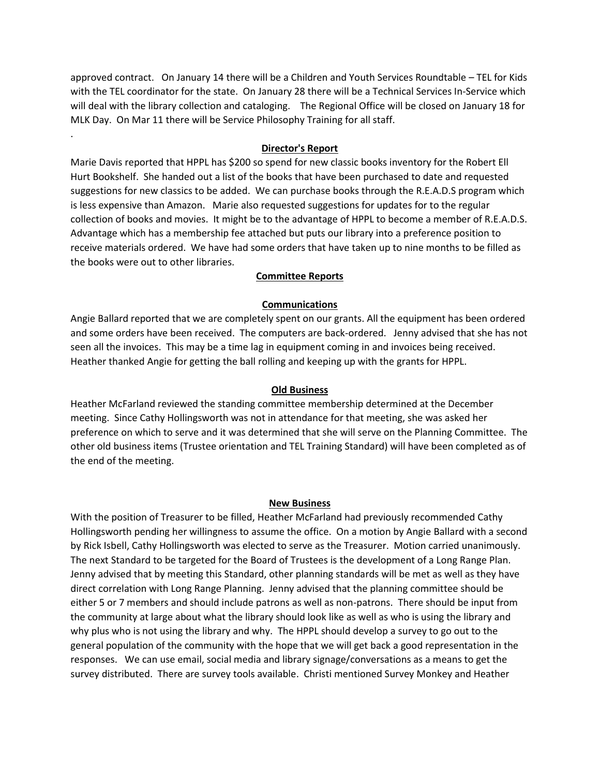approved contract. On January 14 there will be a Children and Youth Services Roundtable – TEL for Kids with the TEL coordinator for the state. On January 28 there will be a Technical Services In-Service which will deal with the library collection and cataloging. The Regional Office will be closed on January 18 for MLK Day. On Mar 11 there will be Service Philosophy Training for all staff.

## **Director's Report**

.

Marie Davis reported that HPPL has \$200 so spend for new classic books inventory for the Robert Ell Hurt Bookshelf. She handed out a list of the books that have been purchased to date and requested suggestions for new classics to be added. We can purchase books through the R.E.A.D.S program which is less expensive than Amazon. Marie also requested suggestions for updates for to the regular collection of books and movies. It might be to the advantage of HPPL to become a member of R.E.A.D.S. Advantage which has a membership fee attached but puts our library into a preference position to receive materials ordered. We have had some orders that have taken up to nine months to be filled as the books were out to other libraries.

## **Committee Reports**

## **Communications**

Angie Ballard reported that we are completely spent on our grants. All the equipment has been ordered and some orders have been received. The computers are back-ordered. Jenny advised that she has not seen all the invoices. This may be a time lag in equipment coming in and invoices being received. Heather thanked Angie for getting the ball rolling and keeping up with the grants for HPPL.

#### **Old Business**

Heather McFarland reviewed the standing committee membership determined at the December meeting. Since Cathy Hollingsworth was not in attendance for that meeting, she was asked her preference on which to serve and it was determined that she will serve on the Planning Committee. The other old business items (Trustee orientation and TEL Training Standard) will have been completed as of the end of the meeting.

#### **New Business**

With the position of Treasurer to be filled, Heather McFarland had previously recommended Cathy Hollingsworth pending her willingness to assume the office. On a motion by Angie Ballard with a second by Rick Isbell, Cathy Hollingsworth was elected to serve as the Treasurer. Motion carried unanimously. The next Standard to be targeted for the Board of Trustees is the development of a Long Range Plan. Jenny advised that by meeting this Standard, other planning standards will be met as well as they have direct correlation with Long Range Planning. Jenny advised that the planning committee should be either 5 or 7 members and should include patrons as well as non-patrons. There should be input from the community at large about what the library should look like as well as who is using the library and why plus who is not using the library and why. The HPPL should develop a survey to go out to the general population of the community with the hope that we will get back a good representation in the responses. We can use email, social media and library signage/conversations as a means to get the survey distributed. There are survey tools available. Christi mentioned Survey Monkey and Heather